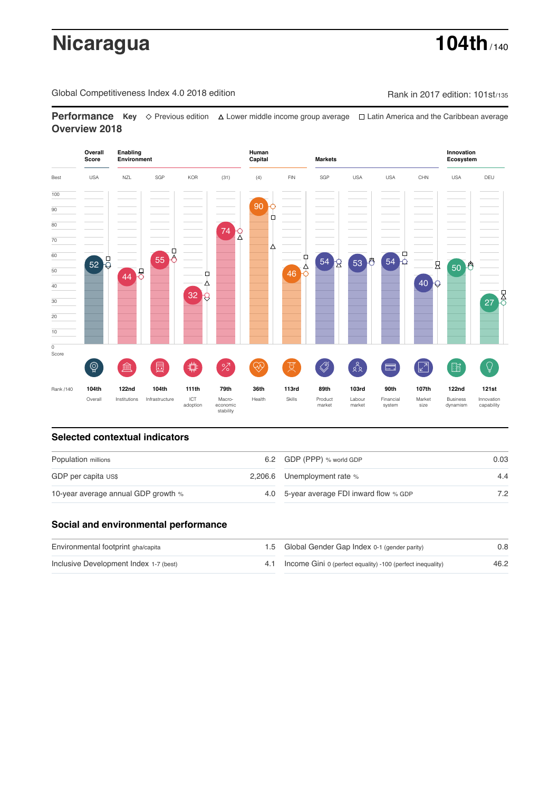# **Nicaragua 104th** / 140

Global Competitiveness Index 4.0 2018 edition Rank in 2017 edition: 101st/135

**Performance** Key ◇ Previous edition A Lower middle income group average  $\Box$  Latin America and the Caribbean average **Overview 2018**



### **Selected contextual indicators**

| Population millions                 |  | 6.2 GDP (PPP) % world GDP                | 0.03 |  |
|-------------------------------------|--|------------------------------------------|------|--|
| GDP per capita US\$                 |  | 2,206.6 Unemployment rate %              | 4.4  |  |
| 10-year average annual GDP growth % |  | 4.0 5-year average FDI inward flow % GDP | 7.2  |  |

## **Social and environmental performance**

| Environmental footprint gha/capita     | 1.5 Global Gender Gap Index 0-1 (gender parity)                | 0.8  |
|----------------------------------------|----------------------------------------------------------------|------|
| Inclusive Development Index 1-7 (best) | 4.1 Income Gini 0 (perfect equality) -100 (perfect inequality) | 46.2 |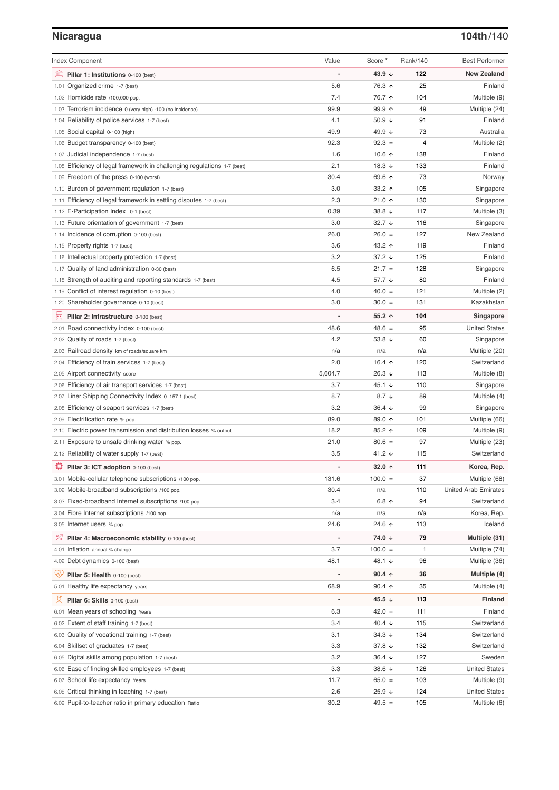# **Nicaragua 104th**/140

| <b>Index Component</b>                                                   | Value                    | Score *              | Rank/140 | <b>Best Performer</b>       |
|--------------------------------------------------------------------------|--------------------------|----------------------|----------|-----------------------------|
| Pillar 1: Institutions 0-100 (best)                                      | $\overline{a}$           | 43.9 ↓               | 122      | <b>New Zealand</b>          |
| 1.01 Organized crime 1-7 (best)                                          | 5.6                      | 76.3 ↑               | 25       | Finland                     |
| 1.02 Homicide rate /100,000 pop.                                         | 7.4                      | 76.7 ↑               | 104      | Multiple (9)                |
| 1.03 Terrorism incidence 0 (very high) -100 (no incidence)               | 99.9                     | $99.9$ 1             | 49       | Multiple (24)               |
| 1.04 Reliability of police services 1-7 (best)                           | 4.1                      | 50.9 $\sqrt{ }$      | 91       | Finland                     |
| 1.05 Social capital 0-100 (high)                                         | 49.9                     | 49.9 ↓               | 73       | Australia                   |
| 1.06 Budget transparency 0-100 (best)                                    | 92.3                     | $92.3 =$             | 4        | Multiple (2)                |
| 1.07 Judicial independence 1-7 (best)                                    | 1.6                      | 10.6 $\uparrow$      | 138      | Finland                     |
| 1.08 Efficiency of legal framework in challenging regulations 1-7 (best) | 2.1                      | 18.3 $\sqrt{ }$      | 133      | Finland                     |
| 1.09 Freedom of the press 0-100 (worst)                                  | 30.4                     | 69.6 ↑               | 73       | Norway                      |
| 1.10 Burden of government regulation 1-7 (best)                          | 3.0                      | 33.2 $\uparrow$      | 105      | Singapore                   |
| 1.11 Efficiency of legal framework in settling disputes 1-7 (best)       | 2.3                      | 21.0 $\uparrow$      | 130      | Singapore                   |
| 1.12 E-Participation Index 0-1 (best)                                    | 0.39                     | 38.8 $\sqrt{ }$      | 117      | Multiple (3)                |
| 1.13 Future orientation of government 1-7 (best)                         | 3.0                      | 32.7 $\sqrt{ }$      | 116      | Singapore                   |
| 1.14 Incidence of corruption 0-100 (best)                                | 26.0                     | $26.0 =$             | 127      | New Zealand                 |
| 1.15 Property rights 1-7 (best)                                          | 3.6                      | 43.2 ↑               | 119      | Finland                     |
| 1.16 Intellectual property protection 1-7 (best)                         | 3.2                      | 37.2 $\sqrt{ }$      | 125      | Finland                     |
| 1.17 Quality of land administration 0-30 (best)                          | 6.5                      | $21.7 =$             | 128      | Singapore                   |
| 1.18 Strength of auditing and reporting standards 1-7 (best)             | 4.5                      | 57.7 $\sqrt{ }$      | 80       | Finland                     |
| 1.19 Conflict of interest regulation 0-10 (best)                         | 4.0                      | $40.0 =$             | 121      | Multiple (2)                |
| 1.20 Shareholder governance 0-10 (best)                                  | 3.0                      | $30.0 =$             | 131      | Kazakhstan                  |
| 員                                                                        |                          | $55.2$ ↑             | 104      | Singapore                   |
| Pillar 2: Infrastructure 0-100 (best)                                    | 48.6                     | $48.6 =$             | 95       | <b>United States</b>        |
| 2.01 Road connectivity index 0-100 (best)                                | 4.2                      | 53.8 $\sqrt{ }$      | 60       | Singapore                   |
| 2.02 Quality of roads 1-7 (best)                                         | n/a                      | n/a                  | n/a      |                             |
| 2.03 Railroad density km of roads/square km                              |                          |                      |          | Multiple (20)               |
| 2.04 Efficiency of train services 1-7 (best)                             | 2.0                      | 16.4 $\uparrow$      | 120      | Switzerland                 |
| 2.05 Airport connectivity score                                          | 5,604.7                  | 26.3 $\sqrt{ }$      | 113      | Multiple (8)                |
| 2.06 Efficiency of air transport services 1-7 (best)                     | 3.7                      | 45.1 $\sqrt{ }$      | 110      | Singapore                   |
| 2.07 Liner Shipping Connectivity Index 0-157.1 (best)                    | 8.7                      | 8.7 $\downarrow$     | 89       | Multiple (4)                |
| 2.08 Efficiency of seaport services 1-7 (best)                           | 3.2                      | 36.4 $\sqrt{ }$      | 99       | Singapore                   |
| 2.09 Electrification rate % pop.                                         | 89.0                     | 89.0 个               | 101      | Multiple (66)               |
| 2.10 Electric power transmission and distribution losses % output        | 18.2                     | 85.2 ↑               | 109      | Multiple (9)                |
| 2.11 Exposure to unsafe drinking water % pop.                            | 21.0                     | $80.6 =$             | 97       | Multiple (23)               |
| 2.12 Reliability of water supply 1-7 (best)                              | 3.5                      | 41.2 $\sqrt{ }$      | 115      | Switzerland                 |
| ₽<br>Pillar 3: ICT adoption 0-100 (best)                                 | $\overline{a}$           | 32.0 $\uparrow$      | 111      | Korea, Rep.                 |
| 3.01 Mobile-cellular telephone subscriptions /100 pop.                   | 131.6                    | $100.0 =$            | 37       | Multiple (68)               |
| 3.02 Mobile-broadband subscriptions /100 pop.                            | 30.4                     | n/a                  | 110      | <b>United Arab Emirates</b> |
| 3.03 Fixed-broadband Internet subscriptions /100 pop.                    | 3.4                      | 6.8 $\uparrow$       | 94       | Switzerland                 |
| 3.04 Fibre Internet subscriptions /100 pop.                              | n/a                      | n/a                  | n/a      | Korea, Rep.                 |
| 3.05 Internet users % pop.                                               | 24.6                     | 24.6 ↑               | 113      | Iceland                     |
| ℅<br>Pillar 4: Macroeconomic stability 0-100 (best)                      | $\overline{a}$           | 74.0 ↓               | 79       | Multiple (31)               |
| 4.01 Inflation annual % change                                           | 3.7                      | $100.0 =$            | 1        | Multiple (74)               |
| 4.02 Debt dynamics 0-100 (best)                                          | 48.1                     | 48.1 ↓               | 96       | Multiple (36)               |
| Qiy<br>Pillar 5: Health 0-100 (best)                                     |                          | $90.4 \text{ A}$     | 36       | Multiple (4)                |
| 5.01 Healthy life expectancy years                                       | 68.9                     | 90.4 $\uparrow$      | 35       | Multiple (4)                |
| 섯<br>Pillar 6: Skills 0-100 (best)                                       | $\overline{\phantom{0}}$ | 45.5 $\sqrt{ }$      | 113      | <b>Finland</b>              |
| 6.01 Mean years of schooling Years                                       | 6.3                      | $42.0 =$             | 111      | Finland                     |
| 6.02 Extent of staff training 1-7 (best)                                 | 3.4                      | 40.4 $\downarrow$    | 115      | Switzerland                 |
| 6.03 Quality of vocational training 1-7 (best)                           | 3.1                      | $34.3 \; \downarrow$ | 134      | Switzerland                 |
| 6.04 Skillset of graduates 1-7 (best)                                    | 3.3                      | 37.8 $\sqrt{ }$      | 132      | Switzerland                 |
| 6.05 Digital skills among population 1-7 (best)                          | 3.2                      | $36.4 +$             | 127      | Sweden                      |
| 6.06 Ease of finding skilled employees 1-7 (best)                        | 3.3                      | 38.6 $\sqrt{ }$      | 126      | <b>United States</b>        |
| 6.07 School life expectancy Years                                        | 11.7                     | $65.0 =$             | 103      | Multiple (9)                |
| 6.08 Critical thinking in teaching 1-7 (best)                            | 2.6                      | $25.9 +$             | 124      | <b>United States</b>        |
| 6.09 Pupil-to-teacher ratio in primary education Ratio                   | 30.2                     | $49.5 =$             | 105      | Multiple (6)                |